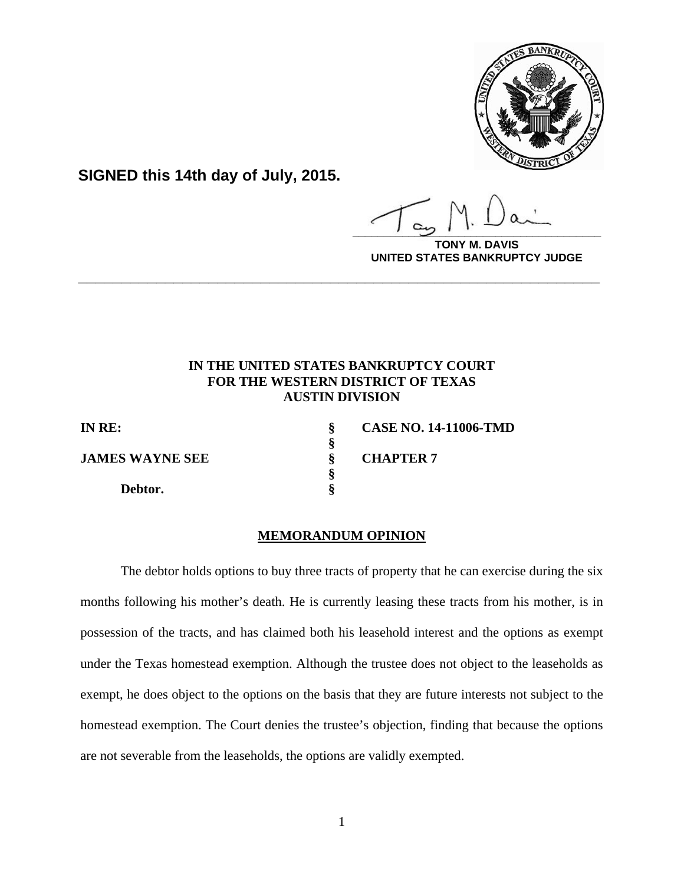

**SIGNED this 14th day of July, 2015.**

 **§** 

 **§** 

**\_\_\_\_\_\_\_\_\_\_\_\_\_\_\_\_\_\_\_\_\_\_\_\_\_\_\_\_\_\_\_\_\_\_\_\_\_\_\_\_**

**AVIS UNITED STATES BANKRUPTCY JUDGE**

# **IN THE UNITED STATES BANKRUPTCY COURT FOR THE WESTERN DISTRICT OF TEXAS AUSTIN DIVISION**

**\_\_\_\_\_\_\_\_\_\_\_\_\_\_\_\_\_\_\_\_\_\_\_\_\_\_\_\_\_\_\_\_\_\_\_\_\_\_\_\_\_\_\_\_\_\_\_\_\_\_\_\_\_\_\_\_\_\_\_\_**

 **Debtor. §** 

**IN RE: § CASE NO. 14-11006-TMD S**<br>**JAMES WAYNE SEE**  $\frac{8}{9}$  **CHAPTER 7** 

## **MEMORANDUM OPINION**

The debtor holds options to buy three tracts of property that he can exercise during the six months following his mother's death. He is currently leasing these tracts from his mother, is in possession of the tracts, and has claimed both his leasehold interest and the options as exempt under the Texas homestead exemption. Although the trustee does not object to the leaseholds as exempt, he does object to the options on the basis that they are future interests not subject to the homestead exemption. The Court denies the trustee's objection, finding that because the options are not severable from the leaseholds, the options are validly exempted.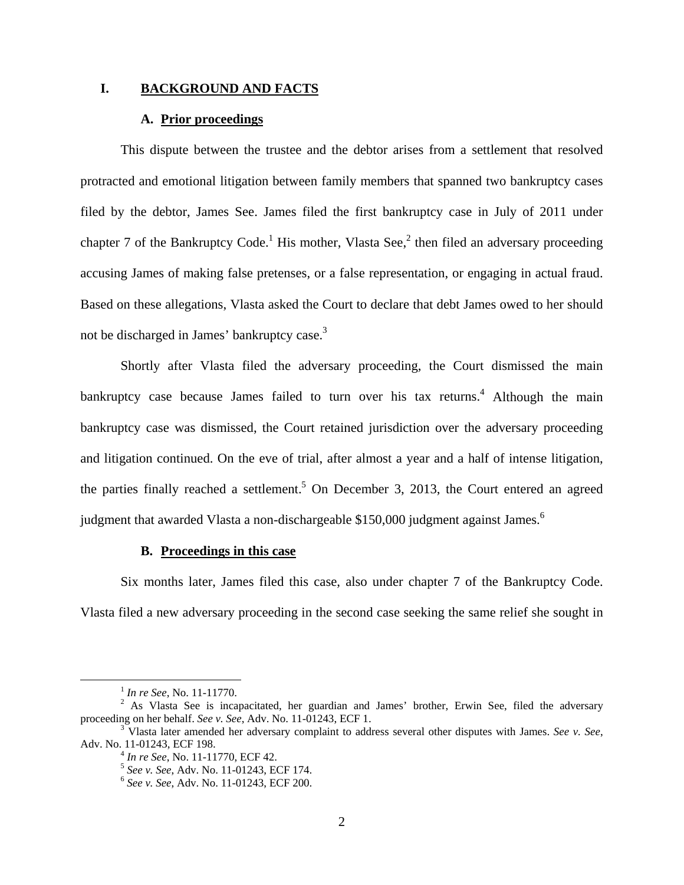## **I. BACKGROUND AND FACTS**

## **A. Prior proceedings**

This dispute between the trustee and the debtor arises from a settlement that resolved protracted and emotional litigation between family members that spanned two bankruptcy cases filed by the debtor, James See. James filed the first bankruptcy case in July of 2011 under chapter 7 of the Bankruptcy Code.<sup>1</sup> His mother, Vlasta See,<sup>2</sup> then filed an adversary proceeding accusing James of making false pretenses, or a false representation, or engaging in actual fraud. Based on these allegations, Vlasta asked the Court to declare that debt James owed to her should not be discharged in James' bankruptcy case.<sup>3</sup>

Shortly after Vlasta filed the adversary proceeding, the Court dismissed the main bankruptcy case because James failed to turn over his tax returns.<sup>4</sup> Although the main bankruptcy case was dismissed, the Court retained jurisdiction over the adversary proceeding and litigation continued. On the eve of trial, after almost a year and a half of intense litigation, the parties finally reached a settlement.<sup>5</sup> On December 3, 2013, the Court entered an agreed judgment that awarded Vlasta a non-dischargeable \$150,000 judgment against James.<sup>6</sup>

## **B. Proceedings in this case**

Six months later, James filed this case, also under chapter 7 of the Bankruptcy Code. Vlasta filed a new adversary proceeding in the second case seeking the same relief she sought in

 $^{1}$  *In re See*, No. 11-11770.

 $2$  As Vlasta See is incapacitated, her guardian and James' brother, Erwin See, filed the adversary proceeding on her behalf. *See v. See*, Adv. No. 11-01243, ECF 1. 3

Vlasta later amended her adversary complaint to address several other disputes with James. *See v. See*, Adv. No. 11-01243, ECF 198.<br>
<sup>4</sup> *In re See*, No. 11-11770, ECF 42.<br>
<sup>5</sup> *See v. See*, Adv. No. 11-01243, ECF 174.<br>
<sup>6</sup> *See v. See*, Adv. No. 11-01243, ECF 200.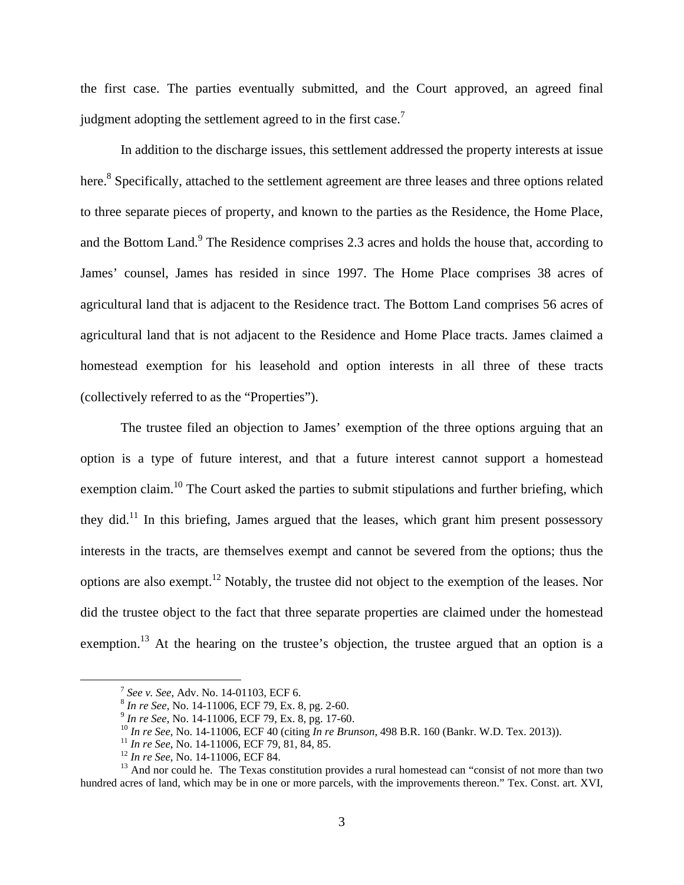the first case. The parties eventually submitted, and the Court approved, an agreed final judgment adopting the settlement agreed to in the first case.<sup>7</sup>

In addition to the discharge issues, this settlement addressed the property interests at issue here.<sup>8</sup> Specifically, attached to the settlement agreement are three leases and three options related to three separate pieces of property, and known to the parties as the Residence, the Home Place, and the Bottom Land.<sup>9</sup> The Residence comprises 2.3 acres and holds the house that, according to James' counsel, James has resided in since 1997. The Home Place comprises 38 acres of agricultural land that is adjacent to the Residence tract. The Bottom Land comprises 56 acres of agricultural land that is not adjacent to the Residence and Home Place tracts. James claimed a homestead exemption for his leasehold and option interests in all three of these tracts (collectively referred to as the "Properties").

The trustee filed an objection to James' exemption of the three options arguing that an option is a type of future interest, and that a future interest cannot support a homestead exemption claim.<sup>10</sup> The Court asked the parties to submit stipulations and further briefing, which they did.<sup>11</sup> In this briefing, James argued that the leases, which grant him present possessory interests in the tracts, are themselves exempt and cannot be severed from the options; thus the options are also exempt.12 Notably, the trustee did not object to the exemption of the leases. Nor did the trustee object to the fact that three separate properties are claimed under the homestead exemption.<sup>13</sup> At the hearing on the trustee's objection, the trustee argued that an option is a

<sup>&</sup>lt;sup>7</sup> See v. See, Adv. No. 14-01103, ECF 6.<br>
<sup>8</sup> In re See, No. 14-11006, ECF 79, Ex. 8, pg. 2-60.<br>
<sup>9</sup> In re See, No. 14-11006, ECF 79, Ex. 8, pg. 17-60.<br>
<sup>10</sup> In re See, No. 14-11006, ECF 40 (citing In re Brunson, 498 B.R

hundred acres of land, which may be in one or more parcels, with the improvements thereon." Tex. Const. art. XVI,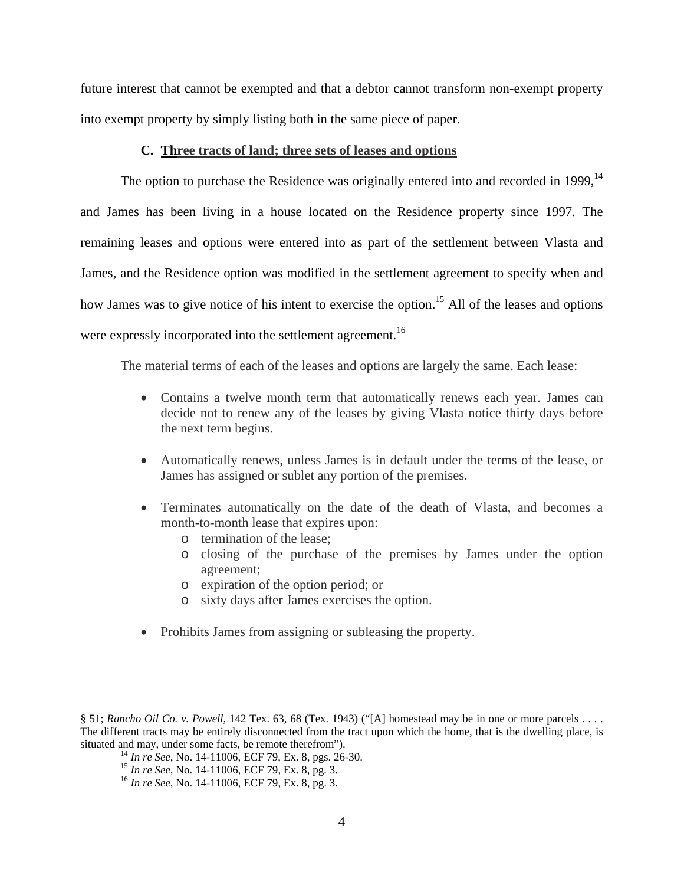future interest that cannot be exempted and that a debtor cannot transform non-exempt property into exempt property by simply listing both in the same piece of paper.

## **C. Three tracts of land; three sets of leases and options**

The option to purchase the Residence was originally entered into and recorded in 1999,  $14$ and James has been living in a house located on the Residence property since 1997. The remaining leases and options were entered into as part of the settlement between Vlasta and James, and the Residence option was modified in the settlement agreement to specify when and how James was to give notice of his intent to exercise the option.<sup>15</sup> All of the leases and options were expressly incorporated into the settlement agreement.<sup>16</sup>

The material terms of each of the leases and options are largely the same. Each lease:

- Contains a twelve month term that automatically renews each year. James can decide not to renew any of the leases by giving Vlasta notice thirty days before the next term begins.
- Automatically renews, unless James is in default under the terms of the lease, or James has assigned or sublet any portion of the premises.
- Terminates automatically on the date of the death of Vlasta, and becomes a month-to-month lease that expires upon:
	- o termination of the lease;
	- o closing of the purchase of the premises by James under the option agreement;
	- o expiration of the option period; or
	- o sixty days after James exercises the option.
- Prohibits James from assigning or subleasing the property.

<sup>§ 51;</sup> *Rancho Oil Co. v. Powell*, 142 Tex. 63, 68 (Tex. 1943) ("[A] homestead may be in one or more parcels . . . . The different tracts may be entirely disconnected from the tract upon which the home, that is the dwelling place, is situated and may, under some facts, be remote therefrom").

<sup>&</sup>lt;sup>14</sup> In re See, No. 14-11006, ECF 79, Ex. 8, pgs. 26-30.<br><sup>15</sup> In re See, No. 14-11006, ECF 79, Ex. 8, pg. 3.<br><sup>16</sup> In re See, No. 14-11006, ECF 79, Ex. 8, pg. 3.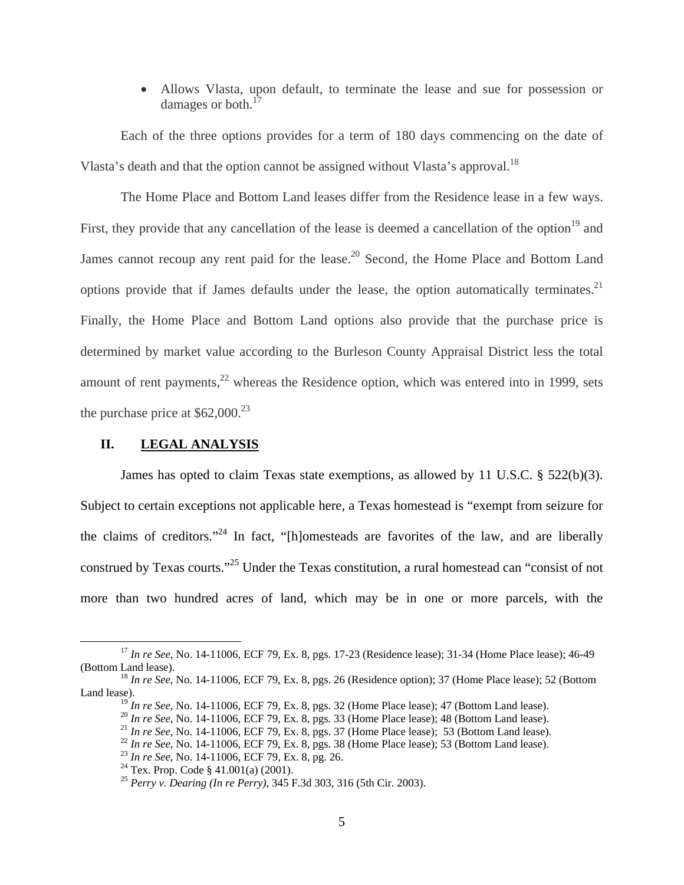Allows Vlasta, upon default, to terminate the lease and sue for possession or damages or both. $<sup>1</sup>$ </sup>

 Each of the three options provides for a term of 180 days commencing on the date of Vlasta's death and that the option cannot be assigned without Vlasta's approval.<sup>18</sup>

 The Home Place and Bottom Land leases differ from the Residence lease in a few ways. First, they provide that any cancellation of the lease is deemed a cancellation of the option<sup>19</sup> and James cannot recoup any rent paid for the lease.<sup>20</sup> Second, the Home Place and Bottom Land options provide that if James defaults under the lease, the option automatically terminates.<sup>21</sup> Finally, the Home Place and Bottom Land options also provide that the purchase price is determined by market value according to the Burleson County Appraisal District less the total amount of rent payments, $^{22}$  whereas the Residence option, which was entered into in 1999, sets the purchase price at  $$62,000.<sup>23</sup>$ 

## **II. LEGAL ANALYSIS**

James has opted to claim Texas state exemptions, as allowed by 11 U.S.C. § 522(b)(3). Subject to certain exceptions not applicable here, a Texas homestead is "exempt from seizure for the claims of creditors."<sup>24</sup> In fact, "[h]omesteads are favorites of the law, and are liberally construed by Texas courts."25 Under the Texas constitution, a rural homestead can "consist of not more than two hundred acres of land, which may be in one or more parcels, with the

 <sup>17</sup> *In re See*, No. 14-11006, ECF 79, Ex. 8, pgs. 17-23 (Residence lease); 31-34 (Home Place lease); 46-49 (Bottom Land lease). 18 *In re See*, No. 14-11006, ECF 79, Ex. 8, pgs. 26 (Residence option); 37 (Home Place lease); 52 (Bottom

Land lease).<br> $\frac{19}{19}$  In re See, No. 14-11006, ECF 79, Ex. 8, pgs. 32 (Home Place lease); 47 (Bottom Land lease).

<sup>&</sup>lt;sup>20</sup> In re See, No. 14-11006, ECF 79, Ex. 8, pgs. 33 (Home Place lease); 48 (Bottom Land lease).<br><sup>21</sup> In re See, No. 14-11006, ECF 79, Ex. 8, pgs. 37 (Home Place lease); 53 (Bottom Land lease).<br><sup>22</sup> In re See, No. 14-1100

<sup>25</sup> *Perry v. Dearing (In re Perry)*, 345 F.3d 303, 316 (5th Cir. 2003).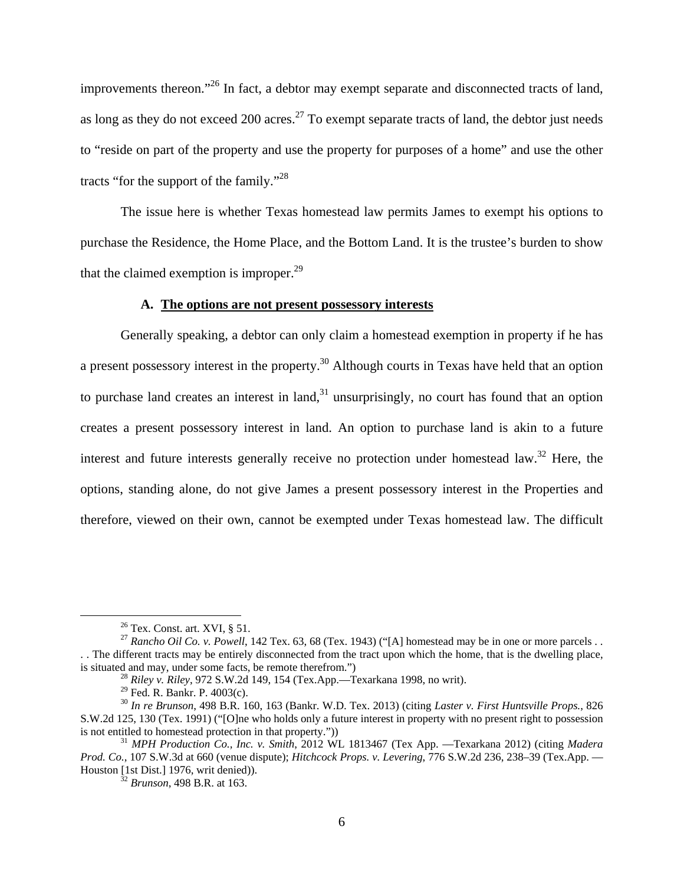improvements thereon."26 In fact, a debtor may exempt separate and disconnected tracts of land, as long as they do not exceed 200 acres.<sup>27</sup> To exempt separate tracts of land, the debtor just needs to "reside on part of the property and use the property for purposes of a home" and use the other tracts "for the support of the family."<sup>28</sup>

The issue here is whether Texas homestead law permits James to exempt his options to purchase the Residence, the Home Place, and the Bottom Land. It is the trustee's burden to show that the claimed exemption is improper. $29$ 

## **A. The options are not present possessory interests**

Generally speaking, a debtor can only claim a homestead exemption in property if he has a present possessory interest in the property.<sup>30</sup> Although courts in Texas have held that an option to purchase land creates an interest in land, $31$  unsurprisingly, no court has found that an option creates a present possessory interest in land. An option to purchase land is akin to a future interest and future interests generally receive no protection under homestead law.<sup>32</sup> Here, the options, standing alone, do not give James a present possessory interest in the Properties and therefore, viewed on their own, cannot be exempted under Texas homestead law. The difficult

 $26$  Tex. Const. art. XVI, § 51.

<sup>&</sup>lt;sup>27</sup> *Rancho Oil Co. v. Powell*, 142 Tex. 63, 68 (Tex. 1943) ("[A] homestead may be in one or more parcels . . . . The different tracts may be entirely disconnected from the tract upon which the home, that is the dwelling place, is situated and may, under some facts, be remote therefrom.") 28 *Riley v. Riley*, 972 S.W.2d 149, 154 (Tex.App.—Texarkana 1998, no writ).

 $29$  Fed. R. Bankr. P. 4003(c).

<sup>30</sup> *In re Brunson*, 498 B.R. 160, 163 (Bankr. W.D. Tex. 2013) (citing *Laster v. First Huntsville Props.*, 826 S.W.2d 125, 130 (Tex. 1991) ("[O]ne who holds only a future interest in property with no present right to possession is not entitled to homestead protection in that property."))

<sup>&</sup>lt;sup>31</sup> *MPH Production Co., Inc. v. Smith, 2012 WL 1813467 (Tex App. —Texarkana 2012) (citing <i>Madera Prod. Co.*, 107 S.W.3d at 660 (venue dispute); *Hitchcock Props. v. Levering*, 776 S.W.2d 236, 238–39 (Tex.App. — Houston [1st Dist.] 1976, writ denied)). 32 *Brunson*, 498 B.R. at 163.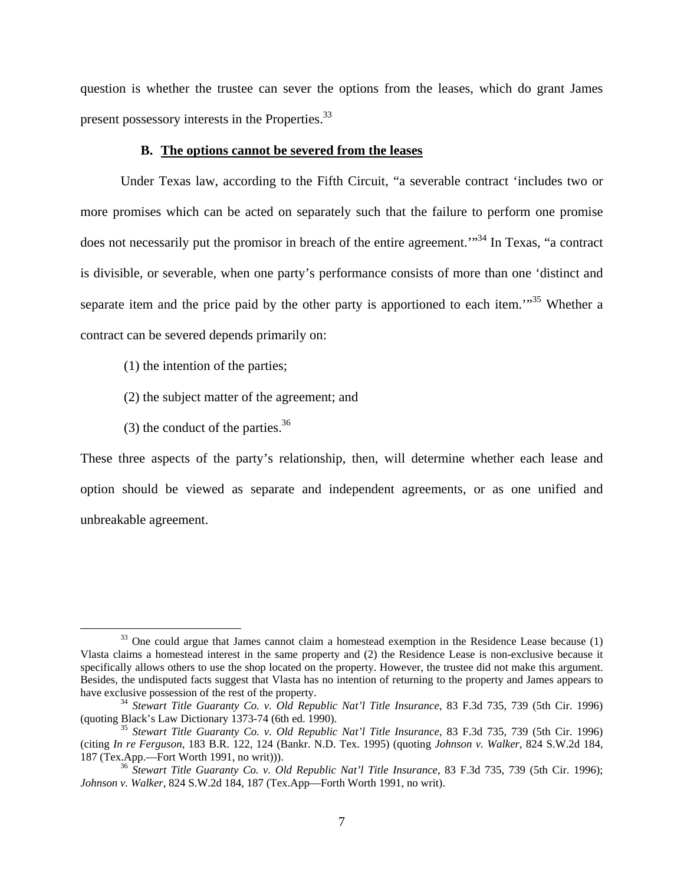question is whether the trustee can sever the options from the leases, which do grant James present possessory interests in the Properties.<sup>33</sup>

## **B. The options cannot be severed from the leases**

Under Texas law, according to the Fifth Circuit, "a severable contract 'includes two or more promises which can be acted on separately such that the failure to perform one promise does not necessarily put the promisor in breach of the entire agreement.<sup>"34</sup> In Texas, "a contract" is divisible, or severable, when one party's performance consists of more than one 'distinct and separate item and the price paid by the other party is apportioned to each item.<sup> $1.35$ </sup> Whether a contract can be severed depends primarily on:

- (1) the intention of the parties;
- (2) the subject matter of the agreement; and
- (3) the conduct of the parties.  $36$

These three aspects of the party's relationship, then, will determine whether each lease and option should be viewed as separate and independent agreements, or as one unified and unbreakable agreement.

 $33$  One could argue that James cannot claim a homestead exemption in the Residence Lease because (1) Vlasta claims a homestead interest in the same property and (2) the Residence Lease is non-exclusive because it specifically allows others to use the shop located on the property. However, the trustee did not make this argument. Besides, the undisputed facts suggest that Vlasta has no intention of returning to the property and James appears to

have exclusive possession of the rest of the property.<br><sup>34</sup> *Stewart Title Guaranty Co. v. Old Republic Nat'l Title Insurance*, 83 F.3d 735, 739 (5th Cir. 1996)<br>(quoting Black's Law Dictionary 1373-74 (6th ed. 1990).

<sup>&</sup>lt;sup>35</sup> Stewart Title Guaranty Co. v. Old Republic Nat'l Title Insurance, 83 F.3d 735, 739 (5th Cir. 1996). (citing *In re Ferguson*, 183 B.R. 122, 124 (Bankr. N.D. Tex. 1995) (quoting *Johnson v. Walker*, 824 S.W.2d 184,

<sup>&</sup>lt;sup>36</sup> Stewart Title Guaranty Co. v. Old Republic Nat'l Title Insurance, 83 F.3d 735, 739 (5th Cir. 1996); *Johnson v. Walker*, 824 S.W.2d 184, 187 (Tex.App—Forth Worth 1991, no writ).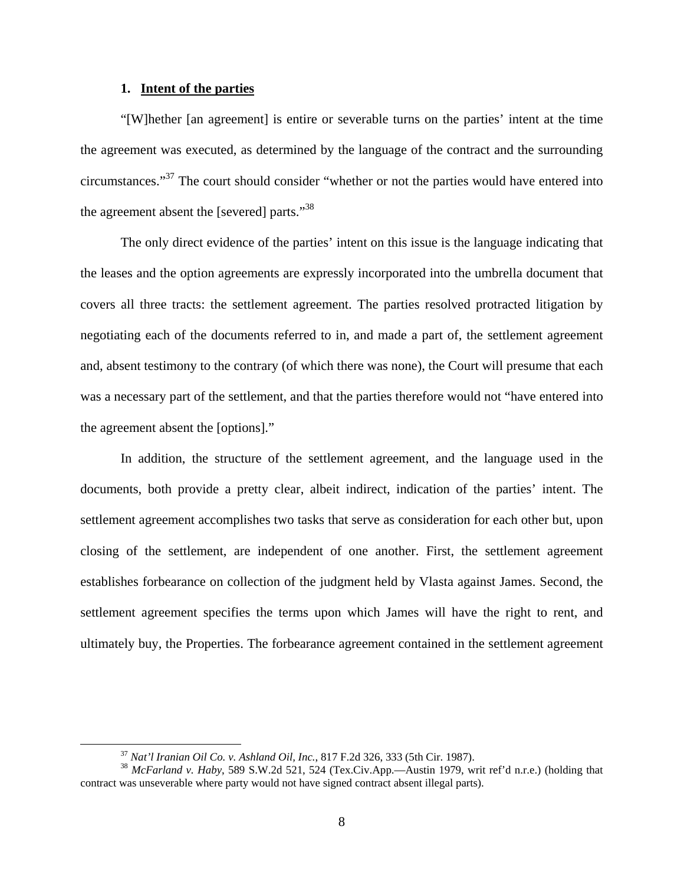## **1. Intent of the parties**

"[W]hether [an agreement] is entire or severable turns on the parties' intent at the time the agreement was executed, as determined by the language of the contract and the surrounding circumstances."37 The court should consider "whether or not the parties would have entered into the agreement absent the [severed] parts."<sup>38</sup>

The only direct evidence of the parties' intent on this issue is the language indicating that the leases and the option agreements are expressly incorporated into the umbrella document that covers all three tracts: the settlement agreement. The parties resolved protracted litigation by negotiating each of the documents referred to in, and made a part of, the settlement agreement and, absent testimony to the contrary (of which there was none), the Court will presume that each was a necessary part of the settlement, and that the parties therefore would not "have entered into the agreement absent the [options]."

In addition, the structure of the settlement agreement, and the language used in the documents, both provide a pretty clear, albeit indirect, indication of the parties' intent. The settlement agreement accomplishes two tasks that serve as consideration for each other but, upon closing of the settlement, are independent of one another. First, the settlement agreement establishes forbearance on collection of the judgment held by Vlasta against James. Second, the settlement agreement specifies the terms upon which James will have the right to rent, and ultimately buy, the Properties. The forbearance agreement contained in the settlement agreement

<sup>37</sup> *Nat'l Iranian Oil Co. v. Ashland Oil, Inc.*, 817 F.2d 326, 333 (5th Cir. 1987). 38 *McFarland v. Haby*, 589 S.W.2d 521, 524 (Tex.Civ.App.—Austin 1979, writ ref'd n.r.e.) (holding that contract was unseverable where party would not have signed contract absent illegal parts).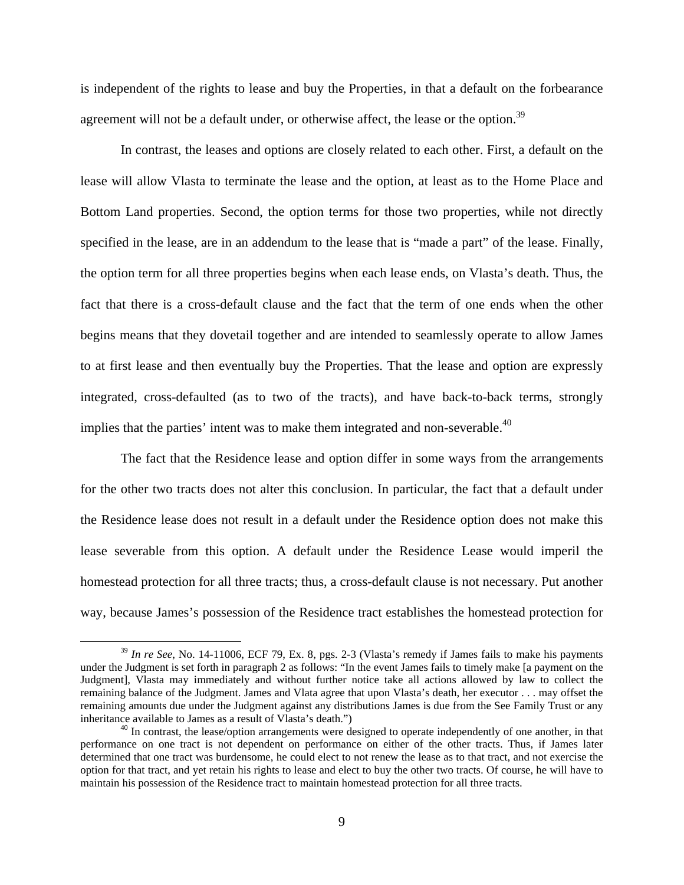is independent of the rights to lease and buy the Properties, in that a default on the forbearance agreement will not be a default under, or otherwise affect, the lease or the option.<sup>39</sup>

In contrast, the leases and options are closely related to each other. First, a default on the lease will allow Vlasta to terminate the lease and the option, at least as to the Home Place and Bottom Land properties. Second, the option terms for those two properties, while not directly specified in the lease, are in an addendum to the lease that is "made a part" of the lease. Finally, the option term for all three properties begins when each lease ends, on Vlasta's death. Thus, the fact that there is a cross-default clause and the fact that the term of one ends when the other begins means that they dovetail together and are intended to seamlessly operate to allow James to at first lease and then eventually buy the Properties. That the lease and option are expressly integrated, cross-defaulted (as to two of the tracts), and have back-to-back terms, strongly implies that the parties' intent was to make them integrated and non-severable.<sup>40</sup>

The fact that the Residence lease and option differ in some ways from the arrangements for the other two tracts does not alter this conclusion. In particular, the fact that a default under the Residence lease does not result in a default under the Residence option does not make this lease severable from this option. A default under the Residence Lease would imperil the homestead protection for all three tracts; thus, a cross-default clause is not necessary. Put another way, because James's possession of the Residence tract establishes the homestead protection for

 <sup>39</sup> *In re See*, No. 14-11006, ECF 79, Ex. 8, pgs. 2-3 (Vlasta's remedy if James fails to make his payments under the Judgment is set forth in paragraph 2 as follows: "In the event James fails to timely make [a payment on the Judgment], Vlasta may immediately and without further notice take all actions allowed by law to collect the remaining balance of the Judgment. James and Vlata agree that upon Vlasta's death, her executor . . . may offset the remaining amounts due under the Judgment against any distributions James is due from the See Family Trust or any inheritance available to James as a result of Vlasta's death.")

 $40$  In contrast, the lease/option arrangements were designed to operate independently of one another, in that performance on one tract is not dependent on performance on either of the other tracts. Thus, if James later determined that one tract was burdensome, he could elect to not renew the lease as to that tract, and not exercise the option for that tract, and yet retain his rights to lease and elect to buy the other two tracts. Of course, he will have to maintain his possession of the Residence tract to maintain homestead protection for all three tracts.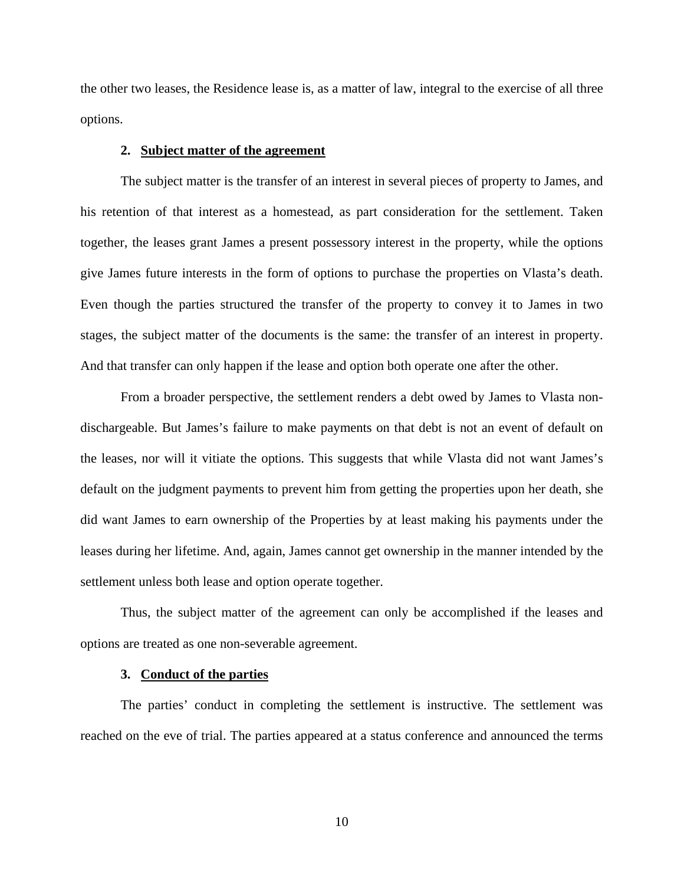the other two leases, the Residence lease is, as a matter of law, integral to the exercise of all three options.

### **2. Subject matter of the agreement**

The subject matter is the transfer of an interest in several pieces of property to James, and his retention of that interest as a homestead, as part consideration for the settlement. Taken together, the leases grant James a present possessory interest in the property, while the options give James future interests in the form of options to purchase the properties on Vlasta's death. Even though the parties structured the transfer of the property to convey it to James in two stages, the subject matter of the documents is the same: the transfer of an interest in property. And that transfer can only happen if the lease and option both operate one after the other.

From a broader perspective, the settlement renders a debt owed by James to Vlasta nondischargeable. But James's failure to make payments on that debt is not an event of default on the leases, nor will it vitiate the options. This suggests that while Vlasta did not want James's default on the judgment payments to prevent him from getting the properties upon her death, she did want James to earn ownership of the Properties by at least making his payments under the leases during her lifetime. And, again, James cannot get ownership in the manner intended by the settlement unless both lease and option operate together.

Thus, the subject matter of the agreement can only be accomplished if the leases and options are treated as one non-severable agreement.

#### **3. Conduct of the parties**

The parties' conduct in completing the settlement is instructive. The settlement was reached on the eve of trial. The parties appeared at a status conference and announced the terms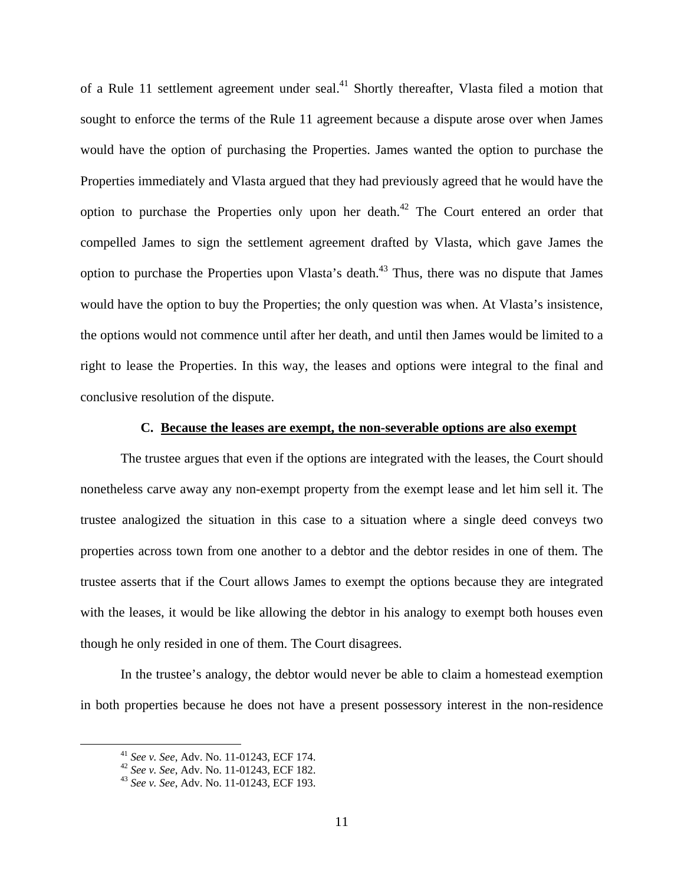of a Rule 11 settlement agreement under seal.<sup>41</sup> Shortly thereafter, Vlasta filed a motion that sought to enforce the terms of the Rule 11 agreement because a dispute arose over when James would have the option of purchasing the Properties. James wanted the option to purchase the Properties immediately and Vlasta argued that they had previously agreed that he would have the option to purchase the Properties only upon her death.<sup>42</sup> The Court entered an order that compelled James to sign the settlement agreement drafted by Vlasta, which gave James the option to purchase the Properties upon Vlasta's death.<sup>43</sup> Thus, there was no dispute that James would have the option to buy the Properties; the only question was when. At Vlasta's insistence, the options would not commence until after her death, and until then James would be limited to a right to lease the Properties. In this way, the leases and options were integral to the final and conclusive resolution of the dispute.

## **C. Because the leases are exempt, the non-severable options are also exempt**

The trustee argues that even if the options are integrated with the leases, the Court should nonetheless carve away any non-exempt property from the exempt lease and let him sell it. The trustee analogized the situation in this case to a situation where a single deed conveys two properties across town from one another to a debtor and the debtor resides in one of them. The trustee asserts that if the Court allows James to exempt the options because they are integrated with the leases, it would be like allowing the debtor in his analogy to exempt both houses even though he only resided in one of them. The Court disagrees.

In the trustee's analogy, the debtor would never be able to claim a homestead exemption in both properties because he does not have a present possessory interest in the non-residence

<sup>41</sup> *See v. See*, Adv. No. 11-01243, ECF 174. 42 *See v. See*, Adv. No. 11-01243, ECF 182. 43 *See v. See*, Adv. No. 11-01243, ECF 193.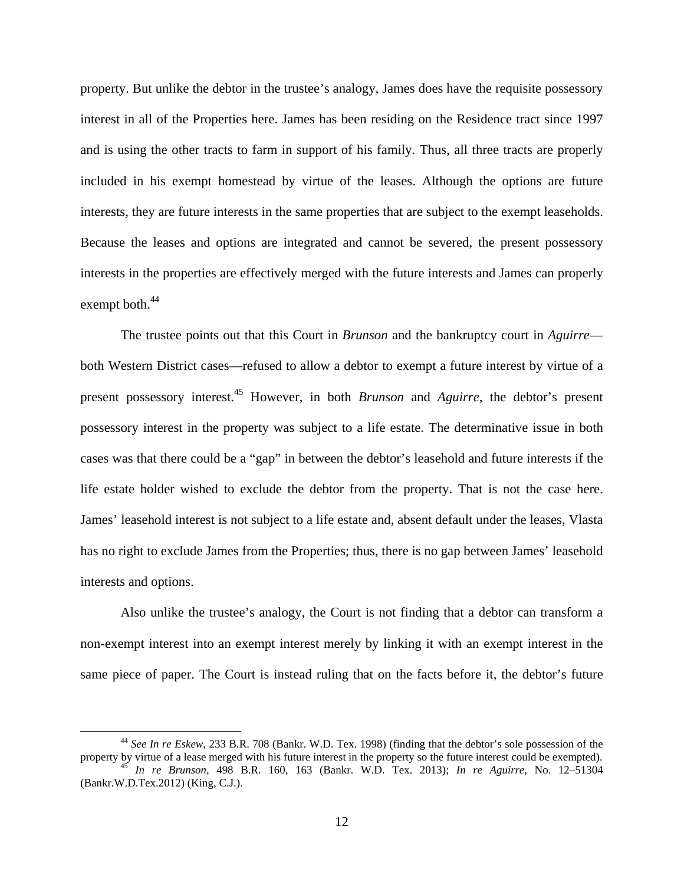property. But unlike the debtor in the trustee's analogy, James does have the requisite possessory interest in all of the Properties here. James has been residing on the Residence tract since 1997 and is using the other tracts to farm in support of his family. Thus, all three tracts are properly included in his exempt homestead by virtue of the leases. Although the options are future interests, they are future interests in the same properties that are subject to the exempt leaseholds. Because the leases and options are integrated and cannot be severed, the present possessory interests in the properties are effectively merged with the future interests and James can properly exempt both.<sup>44</sup>

The trustee points out that this Court in *Brunson* and the bankruptcy court in *Aguirre* both Western District cases—refused to allow a debtor to exempt a future interest by virtue of a present possessory interest.45 However, in both *Brunson* and *Aguirre*, the debtor's present possessory interest in the property was subject to a life estate. The determinative issue in both cases was that there could be a "gap" in between the debtor's leasehold and future interests if the life estate holder wished to exclude the debtor from the property. That is not the case here. James' leasehold interest is not subject to a life estate and, absent default under the leases, Vlasta has no right to exclude James from the Properties; thus, there is no gap between James' leasehold interests and options.

Also unlike the trustee's analogy, the Court is not finding that a debtor can transform a non-exempt interest into an exempt interest merely by linking it with an exempt interest in the same piece of paper. The Court is instead ruling that on the facts before it, the debtor's future

 <sup>44</sup> *See In re Eskew*, 233 B.R. 708 (Bankr. W.D. Tex. 1998) (finding that the debtor's sole possession of the property by virtue of a lease merged with his future interest in the property so the future interest could be exempted). 45 *In re Brunson*, 498 B.R. 160, 163 (Bankr. W.D. Tex. 2013); *In re Aguirre,* No. 12–51304 (Bankr.W.D.Tex.2012) (King, C.J.).